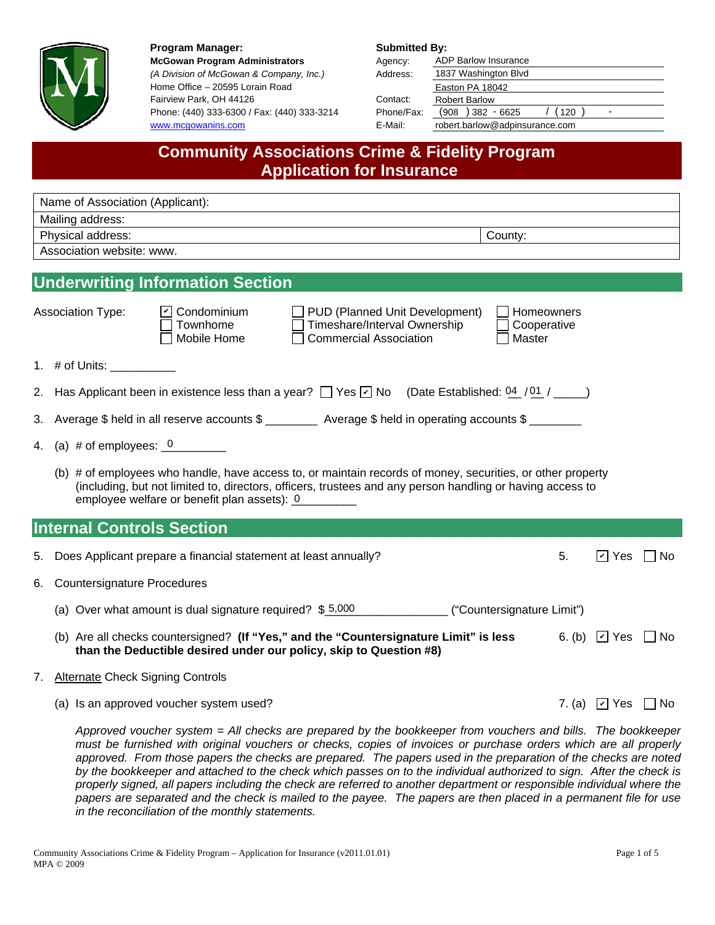

Program Manager: Submitted By: **McGowan Program Administrators** *(A Division of McGowan & Company, Inc.)* Home Office – 20595 Lorain Road Fairview Park, OH 44126 Phone: (440) 333-6300 / Fax: (440) 333-3214 www.mcgowanins.com

| Agency:    | <b>ADP Barlow Insurance</b>     |  |  |  |  |
|------------|---------------------------------|--|--|--|--|
| Address:   | 1837 Washington Blvd            |  |  |  |  |
|            | Easton PA 18042                 |  |  |  |  |
| Contact:   | <b>Robert Barlow</b>            |  |  |  |  |
| Phone/Fax: | $(908)382 - 6625$<br>(120)<br>- |  |  |  |  |
| E-Mail:    | robert.barlow@adpinsurance.com  |  |  |  |  |

## **Community Associations Crime & Fidelity Program Application for Insurance**

|                              | Name of Association (Applicant):                                                                                                                                                                                                                                       |                                     |                                                          |  |
|------------------------------|------------------------------------------------------------------------------------------------------------------------------------------------------------------------------------------------------------------------------------------------------------------------|-------------------------------------|----------------------------------------------------------|--|
|                              | Mailing address:                                                                                                                                                                                                                                                       |                                     |                                                          |  |
| County:<br>Physical address: |                                                                                                                                                                                                                                                                        |                                     |                                                          |  |
|                              | Association website: www.                                                                                                                                                                                                                                              |                                     |                                                          |  |
|                              | <b>Underwriting Information Section</b>                                                                                                                                                                                                                                |                                     |                                                          |  |
|                              | <b>Association Type:</b><br>$\boxed{\mathbf{v}}$ Condominium<br>$\Box$ PUD (Planned Unit Development)<br>Timeshare/Interval Ownership<br>Townhome<br><b>Commercial Association</b><br>Mobile Home                                                                      | Homeowners<br>Cooperative<br>Master |                                                          |  |
|                              | 1. # of Units: $\frac{1}{2}$                                                                                                                                                                                                                                           |                                     |                                                          |  |
|                              | 2. Has Applicant been in existence less than a year? $\Box$ Yes $\Box$ No (Date Established: 04 / 01 / _____)                                                                                                                                                          |                                     |                                                          |  |
|                              | 3. Average \$ held in all reserve accounts \$ _________ Average \$ held in operating accounts \$                                                                                                                                                                       |                                     |                                                          |  |
| 4.                           | (a) $\#$ of employees: $\frac{0}{1}$                                                                                                                                                                                                                                   |                                     |                                                          |  |
|                              | (b) # of employees who handle, have access to, or maintain records of money, securities, or other property<br>(including, but not limited to, directors, officers, trustees and any person handling or having access to<br>employee welfare or benefit plan assets): 0 |                                     |                                                          |  |
|                              | <b>Internal Controls Section</b>                                                                                                                                                                                                                                       |                                     |                                                          |  |
| 5.                           | Does Applicant prepare a financial statement at least annually?                                                                                                                                                                                                        | 5.                                  | $\boxed{V}$ Yes $\boxed{ }$ No                           |  |
| 6.                           | <b>Countersignature Procedures</b>                                                                                                                                                                                                                                     |                                     |                                                          |  |
|                              | (a) Over what amount is dual signature required? \$5,000 ("Countersignature Limit")                                                                                                                                                                                    |                                     |                                                          |  |
|                              | (b) Are all checks countersigned? (If "Yes," and the "Countersignature Limit" is less<br>than the Deductible desired under our policy, skip to Question #8)                                                                                                            |                                     | 6. (b) $\boxed{\vee}$ Yes $\boxed{\phantom{0}}$ No       |  |
| 7.                           | <b>Alternate Check Signing Controls</b>                                                                                                                                                                                                                                |                                     |                                                          |  |
|                              | (a) Is an approved voucher system used?                                                                                                                                                                                                                                |                                     | 7. (a) $\boxed{\triangleright}$ Yes $\boxed{\square}$ No |  |
|                              | Approved vaugher system - All checks are propored by the bookkeeper from vaughers and bills. The bookkeeper                                                                                                                                                            |                                     |                                                          |  |

*Approved voucher system = All checks are prepared by the bookkeeper from vouchers and bills. The bookkeeper must be furnished with original vouchers or checks, copies of invoices or purchase orders which are all properly approved. From those papers the checks are prepared. The papers used in the preparation of the checks are noted by the bookkeeper and attached to the check which passes on to the individual authorized to sign. After the check is properly signed, all papers including the check are referred to another department or responsible individual where the papers are separated and the check is mailed to the payee. The papers are then placed in a permanent file for use in the reconciliation of the monthly statements.*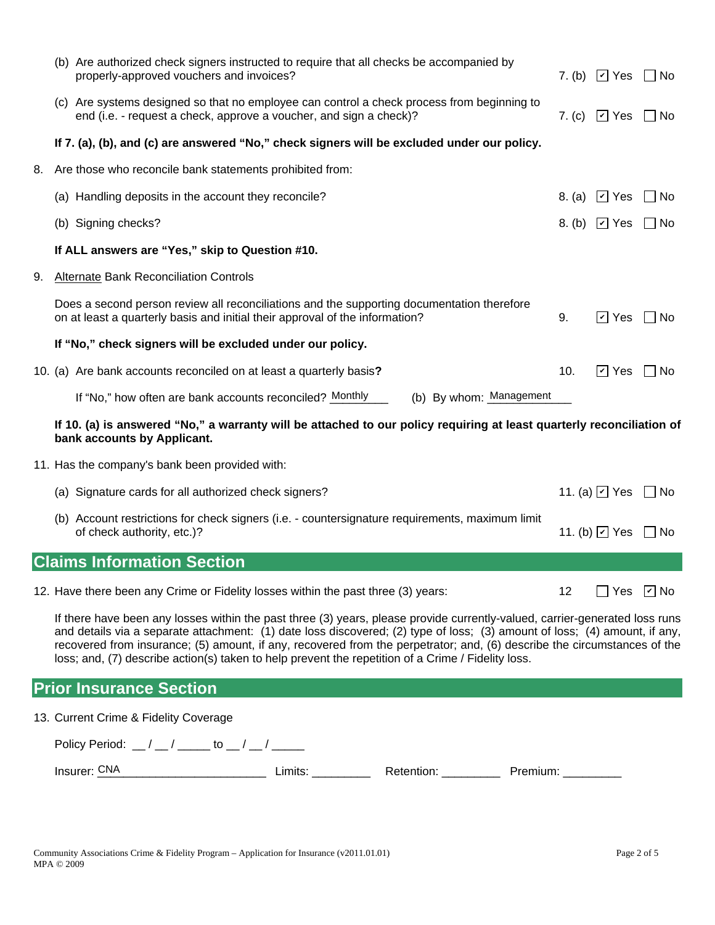|    | (b) Are authorized check signers instructed to require that all checks be accompanied by<br>properly-approved vouchers and invoices?                                                                                                                                                                                                                                                                                                                                                        |        | 7. (b) $\boxed{C}$ Yes           | ∣ ∣No              |
|----|---------------------------------------------------------------------------------------------------------------------------------------------------------------------------------------------------------------------------------------------------------------------------------------------------------------------------------------------------------------------------------------------------------------------------------------------------------------------------------------------|--------|----------------------------------|--------------------|
|    | (c) Are systems designed so that no employee can control a check process from beginning to<br>end (i.e. - request a check, approve a voucher, and sign a check)?                                                                                                                                                                                                                                                                                                                            |        | 7. (c) $\Box$ Yes                | l INo              |
|    | If 7. (a), (b), and (c) are answered "No," check signers will be excluded under our policy.                                                                                                                                                                                                                                                                                                                                                                                                 |        |                                  |                    |
| 8. | Are those who reconcile bank statements prohibited from:                                                                                                                                                                                                                                                                                                                                                                                                                                    |        |                                  |                    |
|    | (a) Handling deposits in the account they reconcile?                                                                                                                                                                                                                                                                                                                                                                                                                                        | 8. (a) | $\boxed{v}$ Yes                  | l No               |
|    | (b) Signing checks?                                                                                                                                                                                                                                                                                                                                                                                                                                                                         | 8. (b) | $\boxed{\mathsf{v}}$ Yes         | – I No             |
|    | If ALL answers are "Yes," skip to Question #10.                                                                                                                                                                                                                                                                                                                                                                                                                                             |        |                                  |                    |
| 9. | Alternate Bank Reconciliation Controls                                                                                                                                                                                                                                                                                                                                                                                                                                                      |        |                                  |                    |
|    | Does a second person review all reconciliations and the supporting documentation therefore<br>on at least a quarterly basis and initial their approval of the information?                                                                                                                                                                                                                                                                                                                  | 9.     | $\boxed{v}$ Yes                  | l INo              |
|    | If "No," check signers will be excluded under our policy.                                                                                                                                                                                                                                                                                                                                                                                                                                   |        |                                  |                    |
|    | 10. (a) Are bank accounts reconciled on at least a quarterly basis?                                                                                                                                                                                                                                                                                                                                                                                                                         | 10.    | $\boxed{\mathsf{v}}$ Yes         | l No               |
|    | (b) By whom: Management<br>If "No," how often are bank accounts reconciled? Monthly                                                                                                                                                                                                                                                                                                                                                                                                         |        |                                  |                    |
|    | If 10. (a) is answered "No," a warranty will be attached to our policy requiring at least quarterly reconciliation of<br>bank accounts by Applicant.                                                                                                                                                                                                                                                                                                                                        |        |                                  |                    |
|    | 11. Has the company's bank been provided with:                                                                                                                                                                                                                                                                                                                                                                                                                                              |        |                                  |                    |
|    | (a) Signature cards for all authorized check signers?                                                                                                                                                                                                                                                                                                                                                                                                                                       |        | 11. (a) $\boxdot$ Yes            | l No               |
|    | (b) Account restrictions for check signers (i.e. - countersignature requirements, maximum limit<br>of check authority, etc.)?                                                                                                                                                                                                                                                                                                                                                               |        | 11. (b) $\boxed{\mathbf{v}}$ Yes | l No               |
|    | <b>Claims Information Section</b>                                                                                                                                                                                                                                                                                                                                                                                                                                                           |        |                                  |                    |
|    | 12. Have there been any Crime or Fidelity losses within the past three (3) years:                                                                                                                                                                                                                                                                                                                                                                                                           | 12     | $\perp$                          | Yes $\boxed{V}$ No |
|    | If there have been any losses within the past three (3) years, please provide currently-valued, carrier-generated loss runs<br>and details via a separate attachment: (1) date loss discovered; (2) type of loss; (3) amount of loss; (4) amount, if any,<br>recovered from insurance; (5) amount, if any, recovered from the perpetrator; and, (6) describe the circumstances of the<br>loss; and, (7) describe action(s) taken to help prevent the repetition of a Crime / Fidelity loss. |        |                                  |                    |
|    | <b>Prior Insurance Section</b>                                                                                                                                                                                                                                                                                                                                                                                                                                                              |        |                                  |                    |
|    | 13. Current Crime & Fidelity Coverage                                                                                                                                                                                                                                                                                                                                                                                                                                                       |        |                                  |                    |
|    | Policy Period: $\frac{1}{2}$ / _______ to __ / __ / _____                                                                                                                                                                                                                                                                                                                                                                                                                                   |        |                                  |                    |
|    | Insurer: CNA<br>Limits:<br>Retention:<br>Premium:                                                                                                                                                                                                                                                                                                                                                                                                                                           |        |                                  |                    |

| Policy Period: $\angle$ / $\angle$ / $\angle$ to $\angle$ / $\angle$ |         |            |          |  |  |  |
|----------------------------------------------------------------------|---------|------------|----------|--|--|--|
| Insurer: CNA                                                         | Limits: | Retention: | Premium: |  |  |  |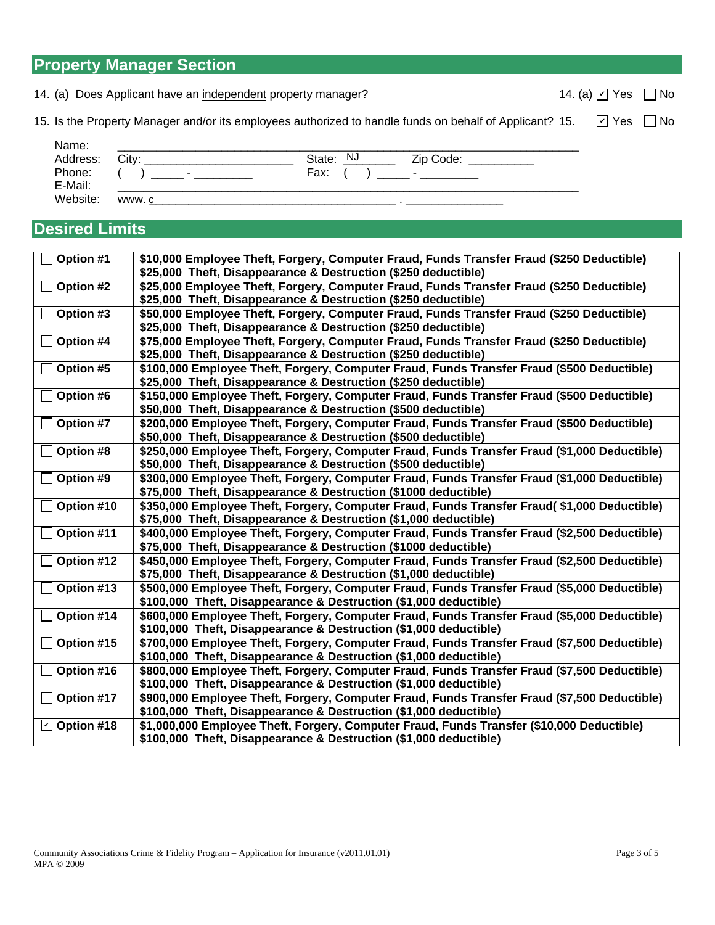| $\Box$ Option #17 | \$900,000 Employee Theft, Forg |
|-------------------|--------------------------------|
|                   | \$100,000 Theft, Disappearance |

|                                  | \$25,000 Theft, Disappearance & Destruction (\$250 deductible)                               |
|----------------------------------|----------------------------------------------------------------------------------------------|
| Option #3                        | \$50,000 Employee Theft, Forgery, Computer Fraud, Funds Transfer Fraud (\$250 Deductible)    |
|                                  | \$25,000 Theft, Disappearance & Destruction (\$250 deductible)                               |
| Option #4                        | \$75,000 Employee Theft, Forgery, Computer Fraud, Funds Transfer Fraud (\$250 Deductible)    |
|                                  | \$25,000 Theft, Disappearance & Destruction (\$250 deductible)                               |
| Option #5                        | \$100,000 Employee Theft, Forgery, Computer Fraud, Funds Transfer Fraud (\$500 Deductible)   |
|                                  | \$25,000 Theft, Disappearance & Destruction (\$250 deductible)                               |
| Option #6                        | \$150,000 Employee Theft, Forgery, Computer Fraud, Funds Transfer Fraud (\$500 Deductible)   |
|                                  | \$50,000 Theft, Disappearance & Destruction (\$500 deductible)                               |
| Option #7                        | \$200,000 Employee Theft, Forgery, Computer Fraud, Funds Transfer Fraud (\$500 Deductible)   |
|                                  | \$50,000 Theft, Disappearance & Destruction (\$500 deductible)                               |
| Option #8                        | \$250,000 Employee Theft, Forgery, Computer Fraud, Funds Transfer Fraud (\$1,000 Deductible) |
|                                  | \$50,000 Theft, Disappearance & Destruction (\$500 deductible)                               |
| Option #9                        | \$300,000 Employee Theft, Forgery, Computer Fraud, Funds Transfer Fraud (\$1,000 Deductible) |
|                                  | \$75,000 Theft, Disappearance & Destruction (\$1000 deductible)                              |
| Option #10                       | \$350,000 Employee Theft, Forgery, Computer Fraud, Funds Transfer Fraud(\$1,000 Deductible)  |
|                                  | \$75,000 Theft, Disappearance & Destruction (\$1,000 deductible)                             |
| Option #11                       | \$400,000 Employee Theft, Forgery, Computer Fraud, Funds Transfer Fraud (\$2,500 Deductible) |
|                                  | \$75,000 Theft, Disappearance & Destruction (\$1000 deductible)                              |
| Option #12                       | \$450,000 Employee Theft, Forgery, Computer Fraud, Funds Transfer Fraud (\$2,500 Deductible) |
|                                  | \$75,000 Theft, Disappearance & Destruction (\$1,000 deductible)                             |
| Option #13                       | \$500,000 Employee Theft, Forgery, Computer Fraud, Funds Transfer Fraud (\$5,000 Deductible) |
|                                  | \$100,000 Theft, Disappearance & Destruction (\$1,000 deductible)                            |
| Option #14                       | \$600,000 Employee Theft, Forgery, Computer Fraud, Funds Transfer Fraud (\$5,000 Deductible) |
|                                  | \$100,000 Theft, Disappearance & Destruction (\$1,000 deductible)                            |
| Option #15                       | \$700,000 Employee Theft, Forgery, Computer Fraud, Funds Transfer Fraud (\$7,500 Deductible) |
|                                  | \$100,000 Theft, Disappearance & Destruction (\$1,000 deductible)                            |
| Option #16                       | \$800,000 Employee Theft, Forgery, Computer Fraud, Funds Transfer Fraud (\$7,500 Deductible) |
|                                  | \$100,000 Theft, Disappearance & Destruction (\$1,000 deductible)                            |
| Option #17                       | \$900,000 Employee Theft, Forgery, Computer Fraud, Funds Transfer Fraud (\$7,500 Deductible) |
|                                  | \$100,000 Theft, Disappearance & Destruction (\$1,000 deductible)                            |
| $\boxed{\textdegree}$ Option #18 | \$1,000,000 Employee Theft, Forgery, Computer Fraud, Funds Transfer (\$10,000 Deductible)    |
|                                  | \$100,000 Theft, Disappearance & Destruction (\$1,000 deductible)                            |

15. Is the Property Manager and/or its employees authorized to handle funds on behalf of Applicant? 15.  $\boxed{\phantom{a}}$  Yes  $\boxed{\phantom{a}}$  No

 **Option #1 \$10,000 Employee Theft, Forgery, Computer Fraud, Funds Transfer Fraud (\$250 Deductible)** 

 **Option #2 \$25,000 Employee Theft, Forgery, Computer Fraud, Funds Transfer Fraud (\$250 Deductible)** 

 Name: \_\_\_\_\_\_\_\_\_\_\_\_\_\_\_\_\_\_\_\_\_\_\_\_\_\_\_\_\_\_\_\_\_\_\_\_\_\_\_\_\_\_\_\_\_\_\_\_\_\_\_\_\_\_\_\_\_\_\_\_\_\_\_\_\_\_\_\_\_\_\_ Address: City: \_\_\_\_\_\_\_\_\_\_\_\_\_\_\_\_\_\_\_\_\_\_\_ State: \_\_\_\_\_\_\_\_ Zip Code: \_\_\_\_\_\_\_\_\_\_

E-Mail: \_\_\_\_\_\_\_\_\_\_\_\_\_\_\_\_\_\_\_\_\_\_\_\_\_\_\_\_\_\_\_\_\_\_\_\_\_\_\_\_\_\_\_\_\_\_\_\_\_\_\_\_\_\_\_\_\_\_\_\_\_\_\_\_\_\_\_\_\_\_\_

State: NJ

**\$25,000 Theft, Disappearance & Destruction (\$250 deductible)** 

Phone: ( ) \_\_\_\_\_ - \_\_\_\_\_\_\_\_\_ Fax: ( ) \_\_\_\_ - \_\_\_\_\_\_\_\_

Website: www. \_\_\_\_\_\_\_\_\_\_\_\_\_\_\_\_\_\_\_\_\_\_\_\_\_\_\_\_\_\_\_\_\_\_\_\_\_\_ . \_\_\_\_\_\_\_\_\_\_\_\_\_\_\_

**Desired Limits** 

14. (a) Does Applicant have an independent property manager? 14. (a)  $\boxed{\vee}$  Yes  $\boxed{\phantom{\times}}$  No of thave an <u>independent</u> property manager?<br>
Inager and/or its employees authorized to handle funds on behalf of Applicant? 15.<br>
Computer of the Computer of Applicant of Applicant and Computer of Applicant of Applicant of

✔

Community Associations Crime & Fidelity Program – Application for Insurance (v2011.01.01) Page 3 of 5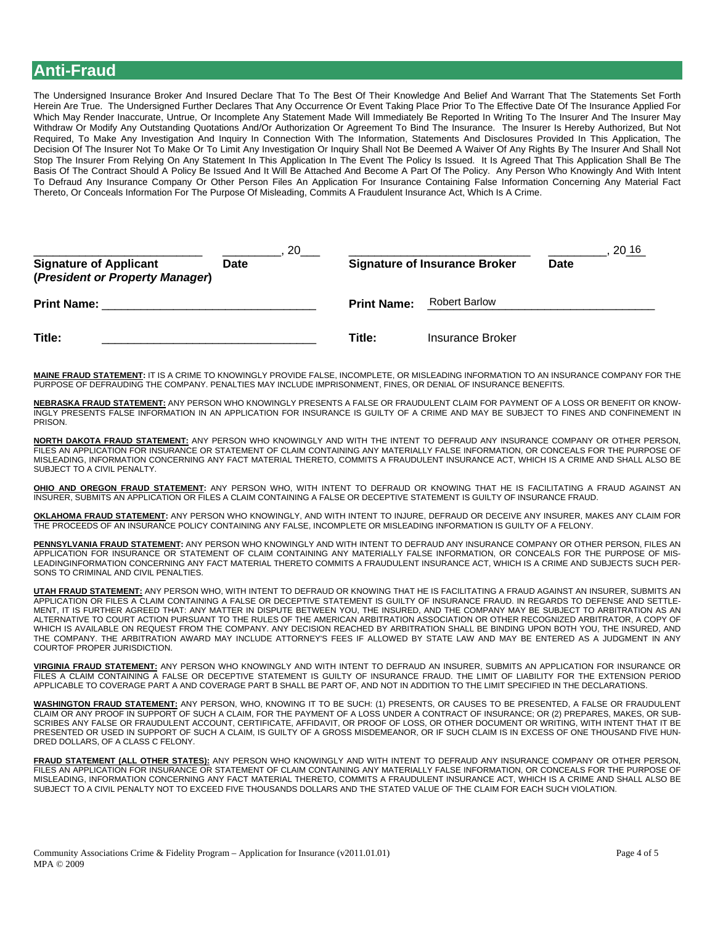## **Anti-Fraud**

The Undersigned Insurance Broker And Insured Declare That To The Best Of Their Knowledge And Belief And Warrant That The Statements Set Forth Herein Are True. The Undersigned Further Declares That Any Occurrence Or Event Taking Place Prior To The Effective Date Of The Insurance Applied For Which May Render Inaccurate, Untrue, Or Incomplete Any Statement Made Will Immediately Be Reported In Writing To The Insurer And The Insurer May Withdraw Or Modify Any Outstanding Quotations And/Or Authorization Or Agreement To Bind The Insurance. The Insurer Is Hereby Authorized, But Not Required, To Make Any Investigation And Inquiry In Connection With The Information, Statements And Disclosures Provided In This Application, The Decision Of The Insurer Not To Make Or To Limit Any Investigation Or Inquiry Shall Not Be Deemed A Waiver Of Any Rights By The Insurer And Shall Not Stop The Insurer From Relying On Any Statement In This Application In The Event The Policy Is Issued. It Is Agreed That This Application Shall Be The Basis Of The Contract Should A Policy Be Issued And It Will Be Attached And Become A Part Of The Policy. Any Person Who Knowingly And With Intent To Defraud Any Insurance Company Or Other Person Files An Application For Insurance Containing False Information Concerning Any Material Fact Thereto, Or Conceals Information For The Purpose Of Misleading, Commits A Fraudulent Insurance Act, Which Is A Crime.

| <b>Signature of Applicant</b><br>(President or Property Manager) | 20<br>Date | <b>Signature of Insurance Broker</b> |                      | 20 16<br><b>Date</b> |
|------------------------------------------------------------------|------------|--------------------------------------|----------------------|----------------------|
| <b>Print Name:</b>                                               |            | <b>Print Name:</b>                   | <b>Robert Barlow</b> |                      |
| Title:                                                           |            | Title:                               | Insurance Broker     |                      |

**MAINE FRAUD STATEMENT:** IT IS A CRIME TO KNOWINGLY PROVIDE FALSE, INCOMPLETE, OR MISLEADING INFORMATION TO AN INSURANCE COMPANY FOR THE PURPOSE OF DEFRAUDING THE COMPANY. PENALTIES MAY INCLUDE IMPRISONMENT, FINES, OR DENIAL OF INSURANCE BENEFITS.

**NEBRASKA FRAUD STATEMENT:** ANY PERSON WHO KNOWINGLY PRESENTS A FALSE OR FRAUDULENT CLAIM FOR PAYMENT OF A LOSS OR BENEFIT OR KNOW-INGLY PRESENTS FALSE INFORMATION IN AN APPLICATION FOR INSURANCE IS GUILTY OF A CRIME AND MAY BE SUBJECT TO FINES AND CONFINEMENT IN **PRISON.** 

**NORTH DAKOTA FRAUD STATEMENT:** ANY PERSON WHO KNOWINGLY AND WITH THE INTENT TO DEFRAUD ANY INSURANCE COMPANY OR OTHER PERSON, FILES AN APPLICATION FOR INSURANCE OR STATEMENT OF CLAIM CONTAINING ANY MATERIALLY FALSE INFORMATION, OR CONCEALS FOR THE PURPOSE OF MISLEADING, INFORMATION CONCERNING ANY FACT MATERIAL THERETO, COMMITS A FRAUDULENT INSURANCE ACT, WHICH IS A CRIME AND SHALL ALSO BE SUBJECT TO A CIVIL PENALTY.

**OHIO AND OREGON FRAUD STATEMENT:** ANY PERSON WHO, WITH INTENT TO DEFRAUD OR KNOWING THAT HE IS FACILITATING A FRAUD AGAINST AN INSURER, SUBMITS AN APPLICATION OR FILES A CLAIM CONTAINING A FALSE OR DECEPTIVE STATEMENT IS GUILTY OF INSURANCE FRAUD.

**OKLAHOMA FRAUD STATEMENT:** ANY PERSON WHO KNOWINGLY, AND WITH INTENT TO INJURE, DEFRAUD OR DECEIVE ANY INSURER, MAKES ANY CLAIM FOR THE PROCEEDS OF AN INSURANCE POLICY CONTAINING ANY FALSE, INCOMPLETE OR MISLEADING INFORMATION IS GUILTY OF A FELONY.

**PENNSYLVANIA FRAUD STATEMENT:** ANY PERSON WHO KNOWINGLY AND WITH INTENT TO DEFRAUD ANY INSURANCE COMPANY OR OTHER PERSON, FILES AN APPLICATION FOR INSURANCE OR STATEMENT OF CLAIM CONTAINING ANY MATERIALLY FALSE INFORMATION, OR CONCEALS FOR THE PURPOSE OF MIS-LEADINGINFORMATION CONCERNING ANY FACT MATERIAL THERETO COMMITS A FRAUDULENT INSURANCE ACT, WHICH IS A CRIME AND SUBJECTS SUCH PER-SONS TO CRIMINAL AND CIVIL PENALTIES.

**UTAH FRAUD STATEMENT:** ANY PERSON WHO, WITH INTENT TO DEFRAUD OR KNOWING THAT HE IS FACILITATING A FRAUD AGAINST AN INSURER, SUBMITS AN APPLICATION OR FILES A CLAIM CONTAINING A FALSE OR DECEPTIVE STATEMENT IS GUILTY OF INSURANCE FRAUD. IN REGARDS TO DEFENSE AND SETTLE-MENT, IT IS FURTHER AGREED THAT: ANY MATTER IN DISPUTE BETWEEN YOU, THE INSURED, AND THE COMPANY MAY BE SUBJECT TO ARBITRATION AS AN ALTERNATIVE TO COURT ACTION PURSUANT TO THE RULES OF THE AMERICAN ARBITRATION ASSOCIATION OR OTHER RECOGNIZED ARBITRATOR, A COPY OF WHICH IS AVAILABLE ON REQUEST FROM THE COMPANY. ANY DECISION REACHED BY ARBITRATION SHALL BE BINDING UPON BOTH YOU, THE INSURED, AND THE COMPANY. THE ARBITRATION AWARD MAY INCLUDE ATTORNEY'S FEES IF ALLOWED BY STATE LAW AND MAY BE ENTERED AS A JUDGMENT IN ANY COURTOF PROPER JURISDICTION.

**VIRGINIA FRAUD STATEMENT:** ANY PERSON WHO KNOWINGLY AND WITH INTENT TO DEFRAUD AN INSURER, SUBMITS AN APPLICATION FOR INSURANCE OR FILES A CLAIM CONTAINING A FALSE OR DECEPTIVE STATEMENT IS GUILTY OF INSURANCE FRAUD. THE LIMIT OF LIABILITY FOR THE EXTENSION PERIOD APPLICABLE TO COVERAGE PART A AND COVERAGE PART B SHALL BE PART OF, AND NOT IN ADDITION TO THE LIMIT SPECIFIED IN THE DECLARATIONS.

**WASHINGTON FRAUD STATEMENT:** ANY PERSON, WHO, KNOWING IT TO BE SUCH: (1) PRESENTS, OR CAUSES TO BE PRESENTED, A FALSE OR FRAUDULENT CLAIM OR ANY PROOF IN SUPPORT OF SUCH A CLAIM, FOR THE PAYMENT OF A LOSS UNDER A CONTRACT OF INSURANCE; OR (2) PREPARES, MAKES, OR SUB-SCRIBES ANY FALSE OR FRAUDULENT ACCOUNT, CERTIFICATE, AFFIDAVIT, OR PROOF OF LOSS, OR OTHER DOCUMENT OR WRITING, WITH INTENT THAT IT BE PRESENTED OR USED IN SUPPORT OF SUCH A CLAIM, IS GUILTY OF A GROSS MISDEMEANOR, OR IF SUCH CLAIM IS IN EXCESS OF ONE THOUSAND FIVE HUN-DRED DOLLARS, OF A CLASS C FELONY.

**FRAUD STATEMENT (ALL OTHER STATES):** ANY PERSON WHO KNOWINGLY AND WITH INTENT TO DEFRAUD ANY INSURANCE COMPANY OR OTHER PERSON, FILES AN APPLICATION FOR INSURANCE OR STATEMENT OF CLAIM CONTAINING ANY MATERIALLY FALSE INFORMATION, OR CONCEALS FOR THE PURPOSE OF MISLEADING, INFORMATION CONCERNING ANY FACT MATERIAL THERETO, COMMITS A FRAUDULENT INSURANCE ACT, WHICH IS A CRIME AND SHALL ALSO BE SUBJECT TO A CIVIL PENALTY NOT TO EXCEED FIVE THOUSANDS DOLLARS AND THE STATED VALUE OF THE CLAIM FOR EACH SUCH VIOLATION.